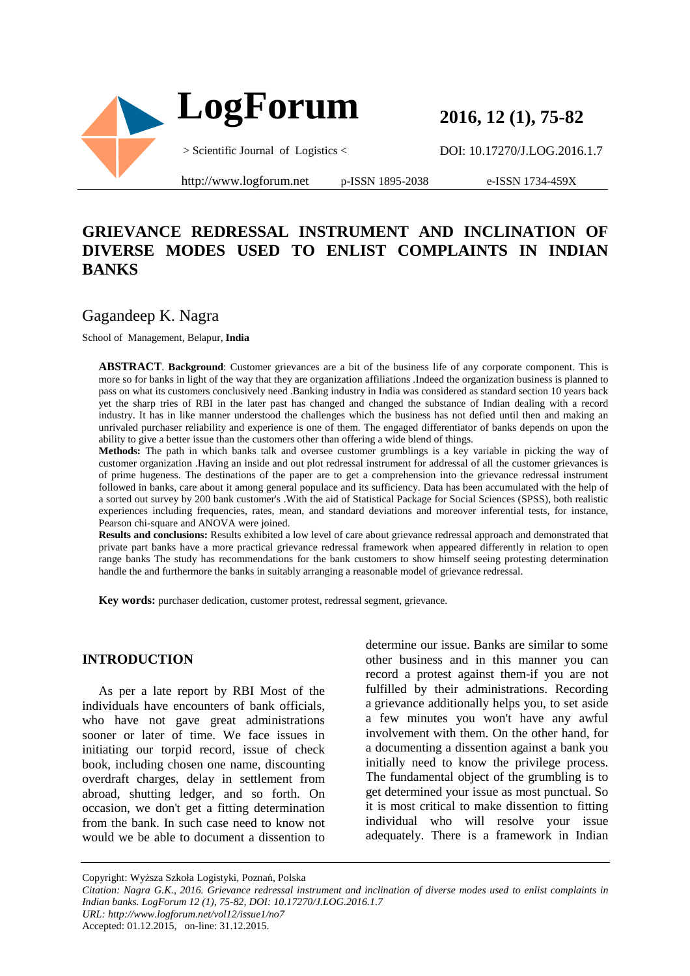

**2016, 12 (1), 75-82** 

DOI: 10.17270/J.LOG.2016.1.7

http://www.logforum.net p-ISSN 1895-2038

e-ISSN 1734-459X

# **GRIEVANCE REDRESSAL INSTRUMENT AND INCLINATION OF DIVERSE MODES USED TO ENLIST COMPLAINTS IN INDIAN BANKS**

# Gagandeep K. Nagra

School of Management, Belapur, **India** 

**ABSTRACT**. **Background**: Customer grievances are a bit of the business life of any corporate component. This is more so for banks in light of the way that they are organization affiliations .Indeed the organization business is planned to pass on what its customers conclusively need .Banking industry in India was considered as standard section 10 years back yet the sharp tries of RBI in the later past has changed and changed the substance of Indian dealing with a record industry. It has in like manner understood the challenges which the business has not defied until then and making an unrivaled purchaser reliability and experience is one of them. The engaged differentiator of banks depends on upon the ability to give a better issue than the customers other than offering a wide blend of things.

**Methods:** The path in which banks talk and oversee customer grumblings is a key variable in picking the way of customer organization .Having an inside and out plot redressal instrument for addressal of all the customer grievances is of prime hugeness. The destinations of the paper are to get a comprehension into the grievance redressal instrument followed in banks, care about it among general populace and its sufficiency. Data has been accumulated with the help of a sorted out survey by 200 bank customer's .With the aid of Statistical Package for Social Sciences (SPSS), both realistic experiences including frequencies, rates, mean, and standard deviations and moreover inferential tests, for instance, Pearson chi-square and ANOVA were joined.

**Results and conclusions:** Results exhibited a low level of care about grievance redressal approach and demonstrated that private part banks have a more practical grievance redressal framework when appeared differently in relation to open range banks The study has recommendations for the bank customers to show himself seeing protesting determination handle the and furthermore the banks in suitably arranging a reasonable model of grievance redressal.

**Key words:** purchaser dedication, customer protest, redressal segment, grievance.

#### **INTRODUCTION**

As per a late report by RBI Most of the individuals have encounters of bank officials, who have not gave great administrations sooner or later of time. We face issues in initiating our torpid record, issue of check book, including chosen one name, discounting overdraft charges, delay in settlement from abroad, shutting ledger, and so forth. On occasion, we don't get a fitting determination from the bank. In such case need to know not would we be able to document a dissention to

determine our issue. Banks are similar to some other business and in this manner you can record a protest against them-if you are not fulfilled by their administrations. Recording a grievance additionally helps you, to set aside a few minutes you won't have any awful involvement with them. On the other hand, for a documenting a dissention against a bank you initially need to know the privilege process. The fundamental object of the grumbling is to get determined your issue as most punctual. So it is most critical to make dissention to fitting individual who will resolve your issue adequately. There is a framework in Indian

Copyright: Wyższa Szkoła Logistyki, Poznań, Polska

*Citation: Nagra G.K., 2016. Grievance redressal instrument and inclination of diverse modes used to enlist complaints in Indian banks. LogForum 12 (1), 75-82, DOI: 10.17270/J.LOG.2016.1.7 URL: http://www.logforum.net/vol12/issue1/no7* Accepted: 01.12.2015, on-line: 31.12.2015.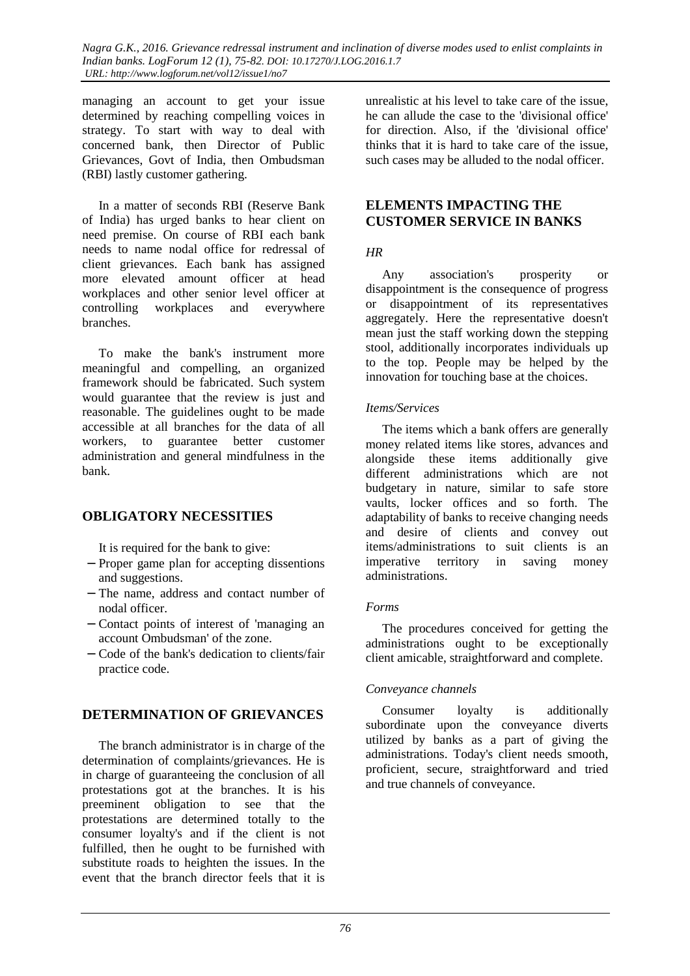*Nagra G.K., 2016. Grievance redressal instrument and inclination of diverse modes used to enlist complaints in Indian banks. LogForum 12 (1), 75-82. DOI: 10.17270/J.LOG.2016.1.7 URL: http://www.logforum.net/vol12/issue1/no7* 

managing an account to get your issue determined by reaching compelling voices in strategy. To start with way to deal with concerned bank, then Director of Public Grievances, Govt of India, then Ombudsman (RBI) lastly customer gathering.

In a matter of seconds RBI (Reserve Bank of India) has urged banks to hear client on need premise. On course of RBI each bank needs to name nodal office for redressal of client grievances. Each bank has assigned more elevated amount officer at head workplaces and other senior level officer at controlling workplaces and everywhere branches.

To make the bank's instrument more meaningful and compelling, an organized framework should be fabricated. Such system would guarantee that the review is just and reasonable. The guidelines ought to be made accessible at all branches for the data of all workers, to guarantee better customer administration and general mindfulness in the bank.

### **OBLIGATORY NECESSITIES**

It is required for the bank to give:

- − Proper game plan for accepting dissentions and suggestions.
- − The name, address and contact number of nodal officer.
- − Contact points of interest of 'managing an account Ombudsman' of the zone.
- − Code of the bank's dedication to clients/fair practice code.

### **DETERMINATION OF GRIEVANCES**

The branch administrator is in charge of the determination of complaints/grievances. He is in charge of guaranteeing the conclusion of all protestations got at the branches. It is his preeminent obligation to see that the protestations are determined totally to the consumer loyalty's and if the client is not fulfilled, then he ought to be furnished with substitute roads to heighten the issues. In the event that the branch director feels that it is

unrealistic at his level to take care of the issue, he can allude the case to the 'divisional office' for direction. Also, if the 'divisional office' thinks that it is hard to take care of the issue, such cases may be alluded to the nodal officer.

### **ELEMENTS IMPACTING THE CUSTOMER SERVICE IN BANKS**

#### *HR*

Any association's prosperity or disappointment is the consequence of progress or disappointment of its representatives aggregately. Here the representative doesn't mean just the staff working down the stepping stool, additionally incorporates individuals up to the top. People may be helped by the innovation for touching base at the choices.

#### *Items/Services*

The items which a bank offers are generally money related items like stores, advances and alongside these items additionally give different administrations which are not budgetary in nature, similar to safe store vaults, locker offices and so forth. The adaptability of banks to receive changing needs and desire of clients and convey out items/administrations to suit clients is an imperative territory in saving money administrations.

#### *Forms*

The procedures conceived for getting the administrations ought to be exceptionally client amicable, straightforward and complete.

#### *Conveyance channels*

Consumer loyalty is additionally subordinate upon the conveyance diverts utilized by banks as a part of giving the administrations. Today's client needs smooth, proficient, secure, straightforward and tried and true channels of conveyance.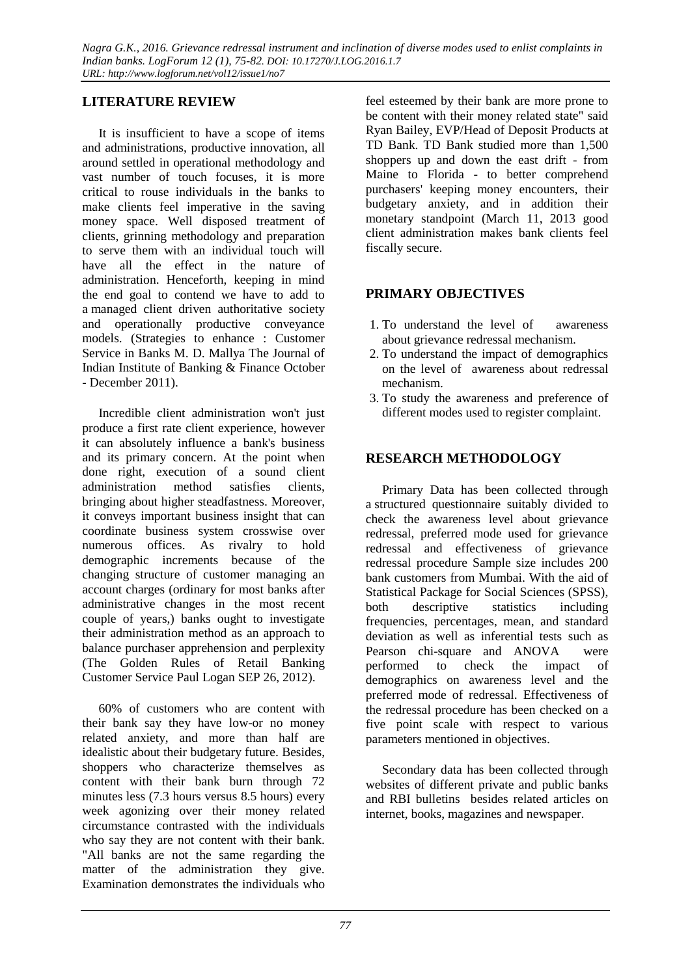# **LITERATURE REVIEW**

It is insufficient to have a scope of items and administrations, productive innovation, all around settled in operational methodology and vast number of touch focuses, it is more critical to rouse individuals in the banks to make clients feel imperative in the saving money space. Well disposed treatment of clients, grinning methodology and preparation to serve them with an individual touch will have all the effect in the nature of administration. Henceforth, keeping in mind the end goal to contend we have to add to a managed client driven authoritative society and operationally productive conveyance models. (Strategies to enhance : Customer Service in Banks M. D. Mallya The Journal of Indian Institute of Banking & Finance October - December 2011).

Incredible client administration won't just produce a first rate client experience, however it can absolutely influence a bank's business and its primary concern. At the point when done right, execution of a sound client administration method satisfies clients, bringing about higher steadfastness. Moreover, it conveys important business insight that can coordinate business system crosswise over numerous offices. As rivalry to hold demographic increments because of the changing structure of customer managing an account charges (ordinary for most banks after administrative changes in the most recent couple of years,) banks ought to investigate their administration method as an approach to balance purchaser apprehension and perplexity (The Golden Rules of Retail Banking Customer Service Paul Logan SEP 26, 2012).

60% of customers who are content with their bank say they have low-or no money related anxiety, and more than half are idealistic about their budgetary future. Besides, shoppers who characterize themselves as content with their bank burn through 72 minutes less (7.3 hours versus 8.5 hours) every week agonizing over their money related circumstance contrasted with the individuals who say they are not content with their bank. "All banks are not the same regarding the matter of the administration they give. Examination demonstrates the individuals who

feel esteemed by their bank are more prone to be content with their money related state" said Ryan Bailey, EVP/Head of Deposit Products at TD Bank. TD Bank studied more than 1,500 shoppers up and down the east drift - from Maine to Florida - to better comprehend purchasers' keeping money encounters, their budgetary anxiety, and in addition their monetary standpoint (March 11, 2013 good client administration makes bank clients feel fiscally secure.

### **PRIMARY OBJECTIVES**

- 1. To understand the level of awareness about grievance redressal mechanism.
- 2. To understand the impact of demographics on the level of awareness about redressal mechanism.
- 3. To study the awareness and preference of different modes used to register complaint.

## **RESEARCH METHODOLOGY**

Primary Data has been collected through a structured questionnaire suitably divided to check the awareness level about grievance redressal, preferred mode used for grievance redressal and effectiveness of grievance redressal procedure Sample size includes 200 bank customers from Mumbai. With the aid of Statistical Package for Social Sciences (SPSS), both descriptive statistics including frequencies, percentages, mean, and standard deviation as well as inferential tests such as Pearson chi-square and ANOVA were performed to check the impact of demographics on awareness level and the preferred mode of redressal. Effectiveness of the redressal procedure has been checked on a five point scale with respect to various parameters mentioned in objectives.

Secondary data has been collected through websites of different private and public banks and RBI bulletins besides related articles on internet, books, magazines and newspaper.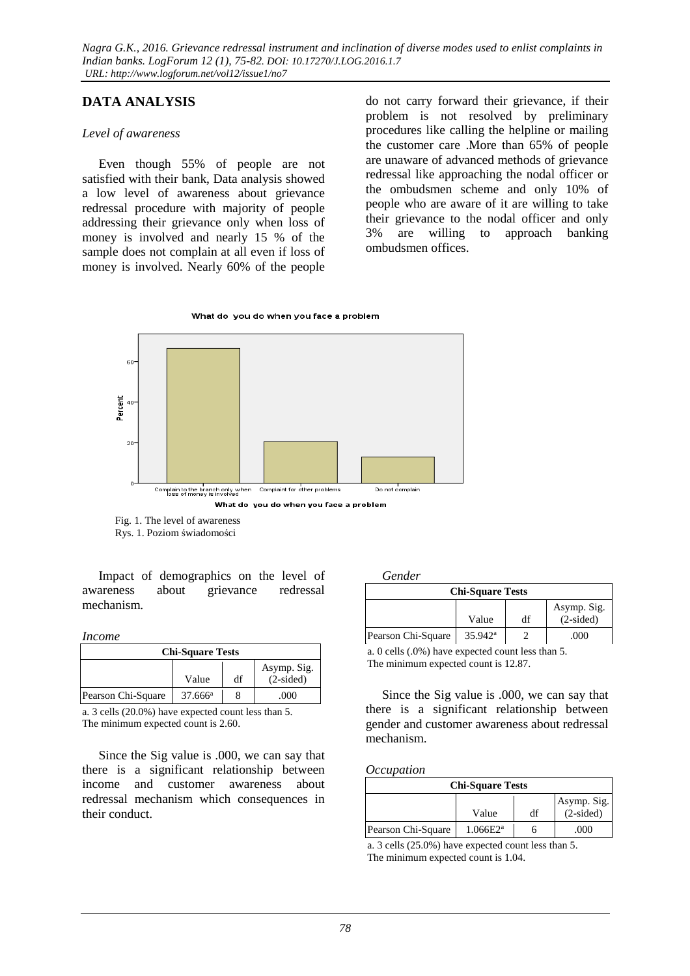## **DATA ANALYSIS**

#### *Level of awareness*

Even though 55% of people are not satisfied with their bank, Data analysis showed a low level of awareness about grievance redressal procedure with majority of people addressing their grievance only when loss of money is involved and nearly 15 % of the sample does not complain at all even if loss of money is involved. Nearly 60% of the people

do not carry forward their grievance, if their problem is not resolved by preliminary procedures like calling the helpline or mailing the customer care .More than 65% of people are unaware of advanced methods of grievance redressal like approaching the nodal officer or the ombudsmen scheme and only 10% of people who are aware of it are willing to take their grievance to the nodal officer and only 3% are willing to approach banking ombudsmen offices.





 Fig. 1. The level of awareness Rys. 1. Poziom świadomości

Impact of demographics on the level of awareness about grievance redressal mechanism.

#### *Income*

| <b>Chi-Square Tests</b> |                  |    |                 |  |
|-------------------------|------------------|----|-----------------|--|
| Asymp. Sig.             |                  |    |                 |  |
|                         | Value            | df | $(2\t{-sided})$ |  |
| Pearson Chi-Square      | $37.666^{\rm a}$ |    | .000            |  |

a. 3 cells (20.0%) have expected count less than 5. The minimum expected count is 2.60.

Since the Sig value is .000, we can say that there is a significant relationship between income and customer awareness about redressal mechanism which consequences in their conduct.

#### *Gender*

| <b>Chi-Square Tests</b>                   |                       |  |      |  |  |
|-------------------------------------------|-----------------------|--|------|--|--|
| Asymp. Sig.<br>$(2-sided)$<br>df<br>Value |                       |  |      |  |  |
| Pearson Chi-Square                        | $35.942$ <sup>a</sup> |  | .000 |  |  |

a. 0 cells (.0%) have expected count less than 5. The minimum expected count is 12.87.

Since the Sig value is .000, we can say that there is a significant relationship between gender and customer awareness about redressal mechanism.

#### *Occupation*

| <b>Chi-Square Tests</b> |             |    |             |  |  |
|-------------------------|-------------|----|-------------|--|--|
| Asymp. Sig.             |             |    |             |  |  |
|                         | Value       | df | $(2-sided)$ |  |  |
| Pearson Chi-Square      | $1.066E2^a$ |    | .000        |  |  |

a. 3 cells (25.0%) have expected count less than 5. The minimum expected count is 1.04.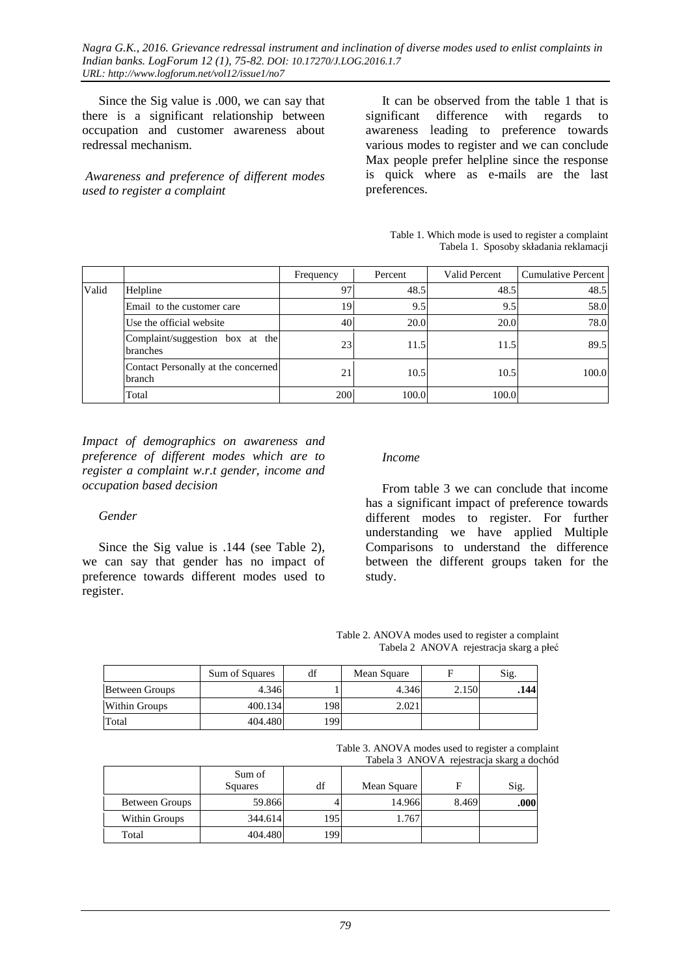Since the Sig value is .000, we can say that there is a significant relationship between occupation and customer awareness about redressal mechanism.

*Awareness and preference of different modes used to register a complaint* 

It can be observed from the table 1 that is significant difference with regards to awareness leading to preference towards various modes to register and we can conclude Max people prefer helpline since the response is quick where as e-mails are the last preferences.

| Table 1. Which mode is used to register a complaint |
|-----------------------------------------------------|
| Tabela 1. Sposoby składania reklamacji              |

|       |                                               | Frequency | Percent | Valid Percent | <b>Cumulative Percent</b> |
|-------|-----------------------------------------------|-----------|---------|---------------|---------------------------|
| Valid | Helpline                                      | 97        | 48.5    | 48.5          | 48.5                      |
|       | Email to the customer care                    | 19        | 9.5     | 9.5           | 58.0                      |
|       | Use the official website                      | 40        | 20.0    | 20.0          | 78.0                      |
|       | Complaint/suggestion box at the<br>branches   | 23        | 11.5    | 11.5          | 89.5                      |
|       | Contact Personally at the concerned<br>branch | 21        | 10.5    | 10.5          | 100.0                     |
|       | Total                                         | 200       | 100.0   | 100.0         |                           |

*Impact of demographics on awareness and preference of different modes which are to register a complaint w.r.t gender, income and occupation based decision* 

#### *Gender*

Since the Sig value is .144 (see Table 2), we can say that gender has no impact of preference towards different modes used to register.

#### *Income*

From table 3 we can conclude that income has a significant impact of preference towards different modes to register. For further understanding we have applied Multiple Comparisons to understand the difference between the different groups taken for the study.

| Table 2. ANOVA modes used to register a complaint |  |                                         |
|---------------------------------------------------|--|-----------------------------------------|
|                                                   |  | Tabela 2 ANOVA rejestracja skarg a płeć |

|                | Sum of Squares | df   | Mean Square |       | Sig. |
|----------------|----------------|------|-------------|-------|------|
| Between Groups | 4.346          |      | 4.346       | 2.150 | .144 |
| Within Groups  | 400.134        | 198  | 2.021       |       |      |
| Total          | 404.480        | 1991 |             |       |      |

Table 3. ANOVA modes used to register a complaint Tabela 3 ANOVA rejestracja skarg a dochód

|                |                          |     |             |       | $1400 \text{ m/s}$ $1110 \text{ Hz}$ $1000 \text{ m/s}$ $1400 \text{ s}$ |
|----------------|--------------------------|-----|-------------|-------|--------------------------------------------------------------------------|
|                | Sum of<br><b>Squares</b> | df  | Mean Square |       | Sig.                                                                     |
| Between Groups | 59.866                   |     | 14.966      | 8.469 | .000                                                                     |
| Within Groups  | 344.614                  | 195 | 1.767       |       |                                                                          |
| Total          | 404.480                  | 199 |             |       |                                                                          |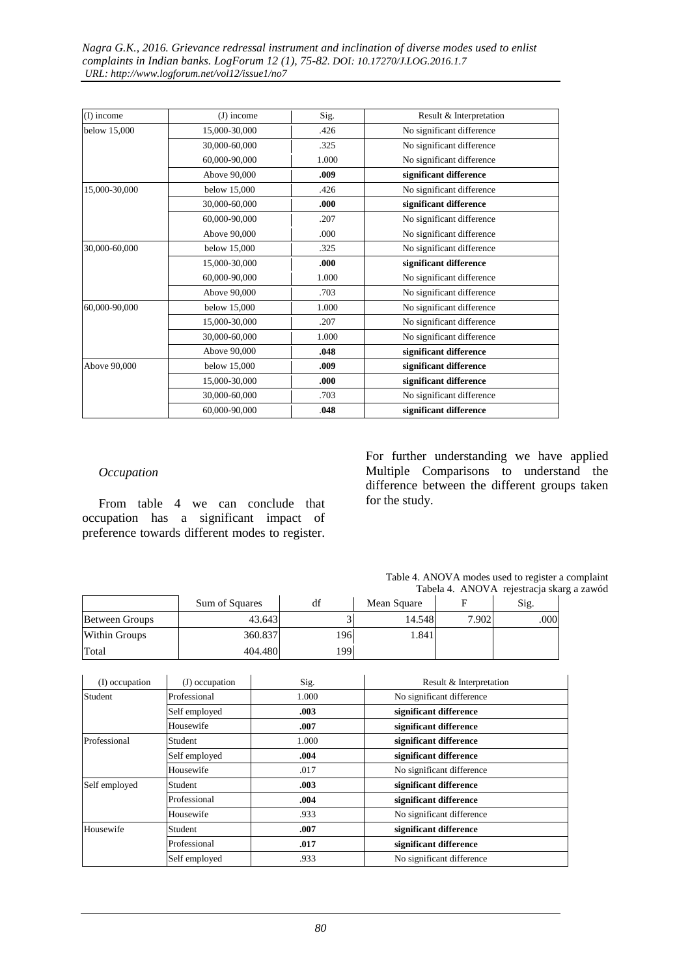| (I) income    | $(J)$ income  | Sig.  | Result & Interpretation   |
|---------------|---------------|-------|---------------------------|
| below 15,000  | 15,000-30,000 | .426  | No significant difference |
|               | 30,000-60,000 | .325  | No significant difference |
|               | 60,000-90,000 | 1.000 | No significant difference |
|               | Above 90,000  | .009  | significant difference    |
| 15,000-30,000 | below 15,000  | .426  | No significant difference |
|               | 30,000-60,000 | .000  | significant difference    |
|               | 60,000-90,000 | .207  | No significant difference |
|               | Above 90,000  | .000  | No significant difference |
| 30,000-60,000 | below 15,000  | .325  | No significant difference |
|               | 15,000-30,000 | .000  | significant difference    |
|               | 60,000-90,000 | 1.000 | No significant difference |
|               | Above 90,000  | .703  | No significant difference |
| 60,000-90,000 | below 15,000  | 1.000 | No significant difference |
|               | 15,000-30,000 | .207  | No significant difference |
|               | 30,000-60,000 | 1.000 | No significant difference |
|               | Above 90,000  | .048  | significant difference    |
| Above 90,000  | below 15,000  | .009  | significant difference    |
|               | 15,000-30,000 | .000  | significant difference    |
|               | 30,000-60,000 | .703  | No significant difference |
|               | 60,000-90,000 | .048  | significant difference    |

#### *Occupation*

From table 4 we can conclude that occupation has a significant impact of preference towards different modes to register. For further understanding we have applied Multiple Comparisons to understand the difference between the different groups taken for the study.

| Table 4. ANOVA modes used to register a complaint |                                           |  |
|---------------------------------------------------|-------------------------------------------|--|
|                                                   | Tabela 4. ANOVA rejestracja skarg a zawód |  |

|                       | Sum of Squares |             | df    | Mean Square | F                         | Sig. |
|-----------------------|----------------|-------------|-------|-------------|---------------------------|------|
| <b>Between Groups</b> |                | 3<br>43.643 |       | 14.548      | 7.902                     | .000 |
| Within Groups         |                | 360.837     | 196   | 1.841       |                           |      |
| Total                 |                | 404.480     | 199   |             |                           |      |
|                       |                |             |       |             |                           |      |
| (I) occupation        | (J) occupation |             | Sig.  |             | Result & Interpretation   |      |
| Student               | Professional   |             | 1.000 |             | No significant difference |      |
|                       | Self employed  | .003        |       |             | significant difference    |      |
|                       | Housewife      | .007        |       |             | significant difference    |      |
| Professional          | Student        | 1.000       |       |             | significant difference    |      |
|                       | Self employed  | .004        |       |             | significant difference    |      |
|                       | Housewife      | .017        |       |             | No significant difference |      |
| Self employed         | Student        |             | .003  |             | significant difference    |      |
|                       | Professional   | .004        |       |             | significant difference    |      |
|                       | Housewife      | .933        |       |             | No significant difference |      |
| Housewife             | Student        |             | .007  |             | significant difference    |      |
|                       | Professional   |             | .017  |             | significant difference    |      |
|                       | Self employed  |             | .933  |             | No significant difference |      |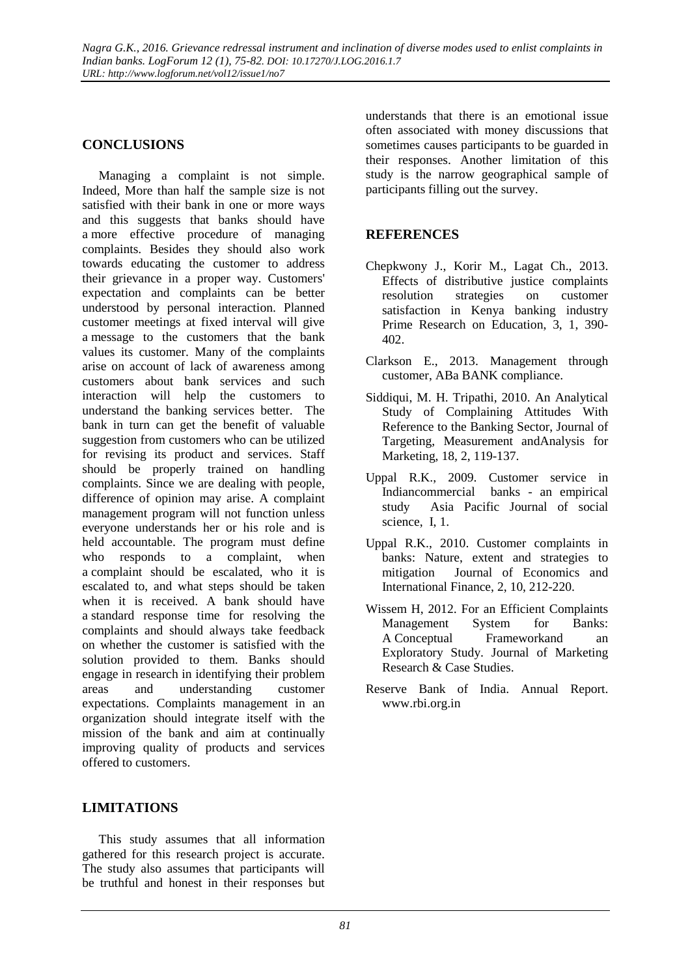# **CONCLUSIONS**

Managing a complaint is not simple. Indeed, More than half the sample size is not satisfied with their bank in one or more ways and this suggests that banks should have a more effective procedure of managing complaints. Besides they should also work towards educating the customer to address their grievance in a proper way. Customers' expectation and complaints can be better understood by personal interaction. Planned customer meetings at fixed interval will give a message to the customers that the bank values its customer. Many of the complaints arise on account of lack of awareness among customers about bank services and such interaction will help the customers to understand the banking services better. The bank in turn can get the benefit of valuable suggestion from customers who can be utilized for revising its product and services. Staff should be properly trained on handling complaints. Since we are dealing with people, difference of opinion may arise. A complaint management program will not function unless everyone understands her or his role and is held accountable. The program must define who responds to a complaint, when a complaint should be escalated, who it is escalated to, and what steps should be taken when it is received. A bank should have a standard response time for resolving the complaints and should always take feedback on whether the customer is satisfied with the solution provided to them. Banks should engage in research in identifying their problem areas and understanding customer expectations. Complaints management in an organization should integrate itself with the mission of the bank and aim at continually improving quality of products and services offered to customers.

### **LIMITATIONS**

This study assumes that all information gathered for this research project is accurate. The study also assumes that participants will be truthful and honest in their responses but

understands that there is an emotional issue often associated with money discussions that sometimes causes participants to be guarded in their responses. Another limitation of this study is the narrow geographical sample of participants filling out the survey.

## **REFERENCES**

- Chepkwony J., Korir M., Lagat Ch., 2013. Effects of distributive justice complaints resolution strategies on customer satisfaction in Kenya banking industry Prime Research on Education, 3, 1, 390- 402.
- Clarkson E., 2013. Management through customer, ABa BANK compliance.
- Siddiqui, M. H. Tripathi, 2010. An Analytical Study of Complaining Attitudes With Reference to the Banking Sector, Journal of Targeting, Measurement andAnalysis for Marketing, 18, 2, 119-137.
- Uppal R.K., 2009. Customer service in Indiancommercial banks - an empirical study Asia Pacific Journal of social science, I, 1.
- Uppal R.K., 2010. Customer complaints in banks: Nature, extent and strategies to mitigation Journal of Economics and International Finance, 2, 10, 212-220.
- Wissem H, 2012. For an Efficient Complaints Management System for Banks: A Conceptual Frameworkand an Exploratory Study. Journal of Marketing Research & Case Studies.
- Reserve Bank of India. Annual Report. www.rbi.org.in